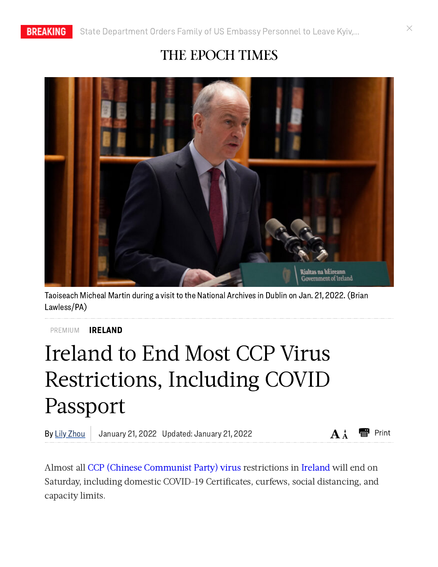## THE EPOCH TIMES



Taoiseach Micheal Martin during a visit to the National Archives in Dublin on Jan. 21, 2022.(Brian Lawless/PA)

[IRELAND](https://www.theepochtimes.com/c-ireland) PREMIUM

## Ireland to End Most CCP Virus Restrictions, Including COVID Passport

By Lily Zhou | January 21, 2022 Updated: January 21, 2022  $AA^+$ 



Almost all CCP (Chinese [Communist](https://www.theepochtimes.com/giving-the-right-name-to-the-virus-causing-a-worldwide-pandemic-2_3277200.html) Party) virus restrictions in [Ireland](https://www.theepochtimes.com/t-ireland) will end on Saturday, including domestic COVID-19 Certificates, curfews, social distancing, and capacity limits.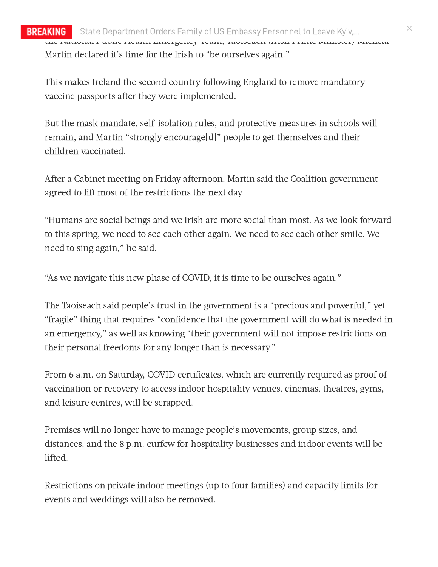## BREAKING State [Department](https://www.theepochtimes.com/state-department-orders-family-of-us-embassy-personnel-to-leave-kyiv-in-special-warning-elevates-travel-warning-for-ukraine-russia_4231514.html) Orders Family of US Embassy Personnel to Leave Kyiv,… the National Public Health Emergency Team, Taoiseach (Irish Prime Minister) Micheál Martin declared it's time for the Irish to "be ourselves again."

This makes Ireland the second country following England to remove mandatory vaccine passports after they were implemented.

But the mask mandate, self-isolation rules, and protective measures in schools will remain, and Martin "strongly encourage[d]" people to get themselves and their children vaccinated.

After a Cabinet meeting on Friday afternoon, Martin said the Coalition government agreed to lift most of the restrictions the next day.

"Humans are social beings and we Irish are more social than most. As we look forward to this spring, we need to see each other again. We need to see each other smile. We need to sing again," he said.

"As we navigate this new phase of COVID, it is time to be ourselves again."

The Taoiseach said people's trust in the government is a "precious and powerful," yet "fragile" thing that requires "confidence that the government will do what is needed in an emergency," as well as knowing "their government will not impose restrictions on their personal freedoms for any longer than is necessary."

From 6 a.m. on Saturday, COVID certificates, which are currently required as proof of vaccination or recovery to access indoor hospitality venues, cinemas, theatres, gyms, and leisure centres, will be scrapped.

Premises will no longer have to manage people's movements, group sizes, and distances, and the 8 p.m. curfew for hospitality businesses and indoor events will be lifted.

Restrictions on private indoor meetings (up to four families) and capacity limits for events and weddings will also be removed.